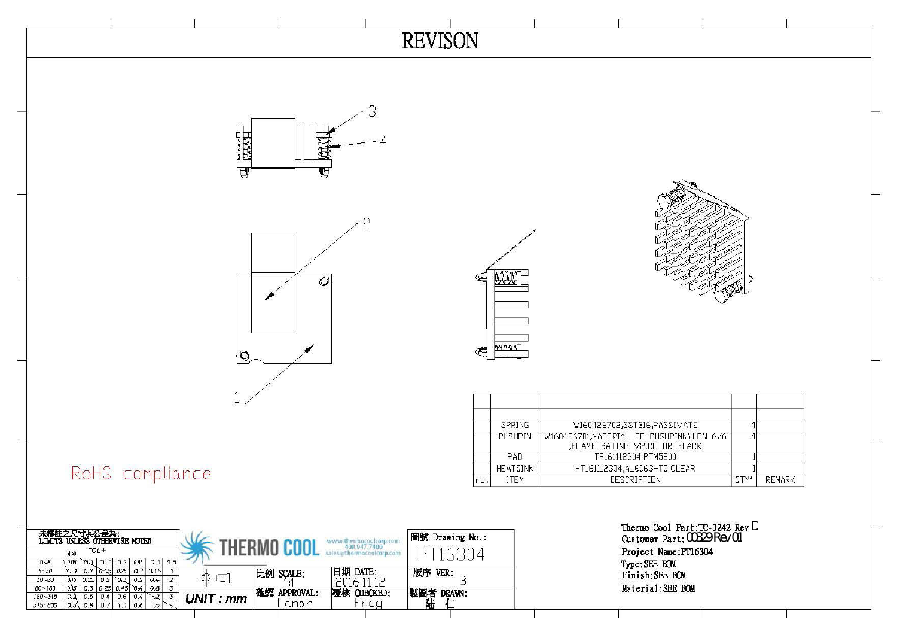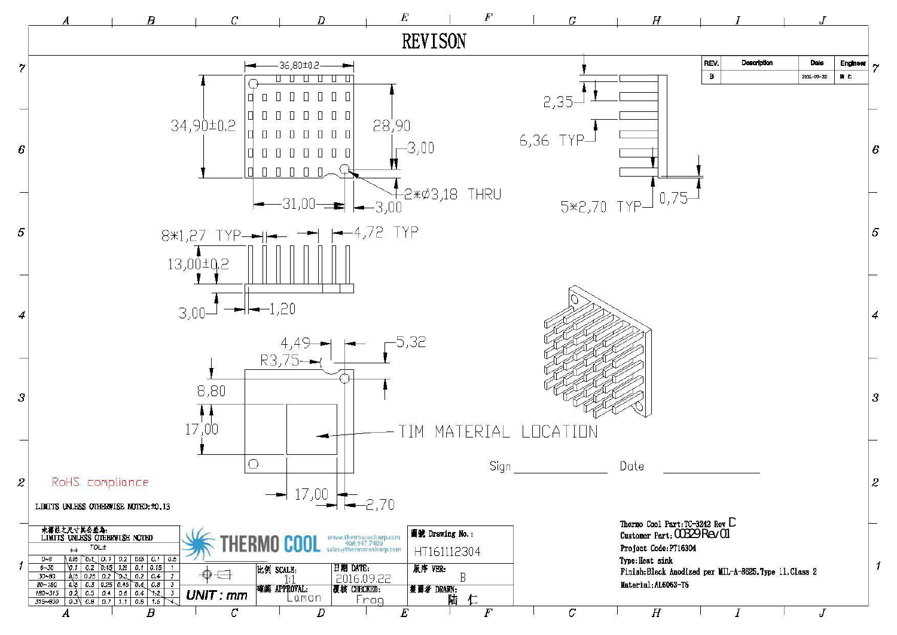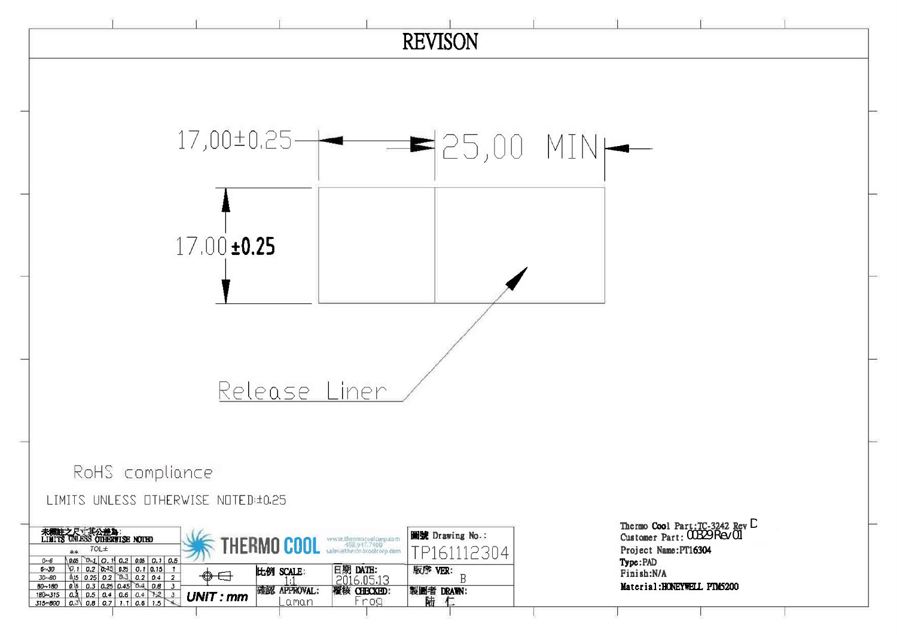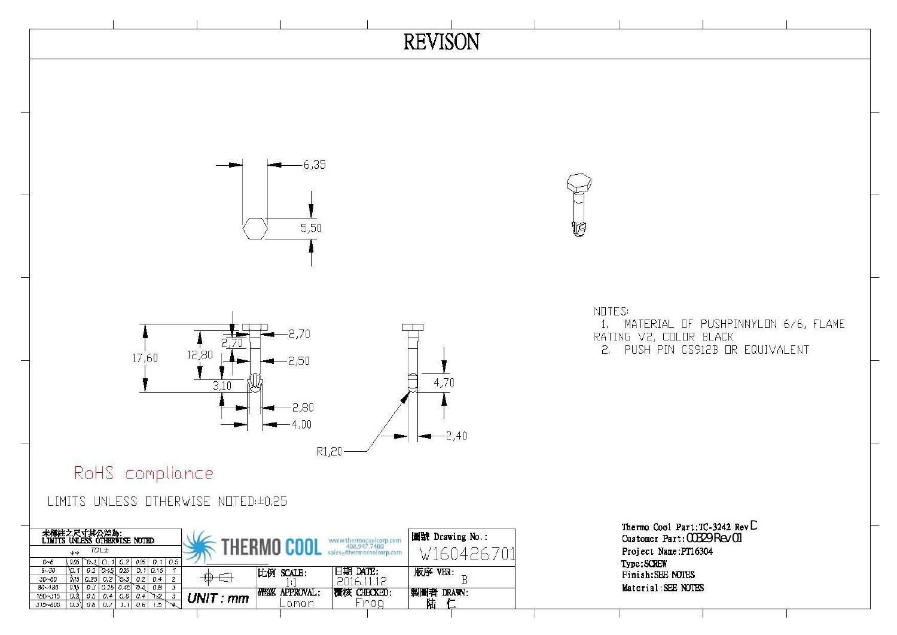